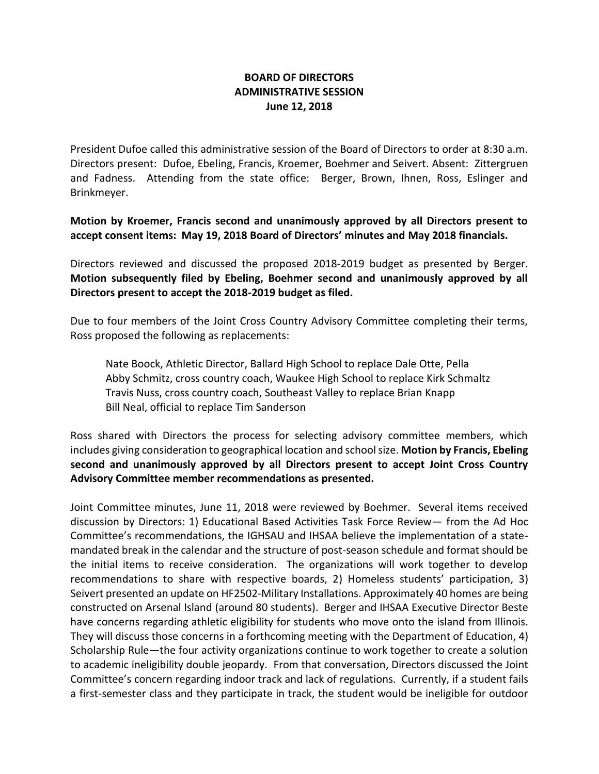## **BOARD OF DIRECTORS ADMINISTRATIVE SESSION June 12, 2018**

President Dufoe called this administrative session of the Board of Directors to order at 8:30 a.m. Directors present: Dufoe, Ebeling, Francis, Kroemer, Boehmer and Seivert. Absent: Zittergruen and Fadness. Attending from the state office: Berger, Brown, Ihnen, Ross, Eslinger and Brinkmeyer.

**Motion by Kroemer, Francis second and unanimously approved by all Directors present to accept consent items: May 19, 2018 Board of Directors' minutes and May 2018 financials.** 

Directors reviewed and discussed the proposed 2018-2019 budget as presented by Berger. **Motion subsequently filed by Ebeling, Boehmer second and unanimously approved by all Directors present to accept the 2018-2019 budget as filed.**

Due to four members of the Joint Cross Country Advisory Committee completing their terms, Ross proposed the following as replacements:

Nate Boock, Athletic Director, Ballard High School to replace Dale Otte, Pella Abby Schmitz, cross country coach, Waukee High School to replace Kirk Schmaltz Travis Nuss, cross country coach, Southeast Valley to replace Brian Knapp Bill Neal, official to replace Tim Sanderson

Ross shared with Directors the process for selecting advisory committee members, which includes giving consideration to geographical location and school size. **Motion by Francis, Ebeling second and unanimously approved by all Directors present to accept Joint Cross Country Advisory Committee member recommendations as presented.**

Joint Committee minutes, June 11, 2018 were reviewed by Boehmer. Several items received discussion by Directors: 1) Educational Based Activities Task Force Review— from the Ad Hoc Committee's recommendations, the IGHSAU and IHSAA believe the implementation of a statemandated break in the calendar and the structure of post-season schedule and format should be the initial items to receive consideration. The organizations will work together to develop recommendations to share with respective boards, 2) Homeless students' participation, 3) Seivert presented an update on HF2502-Military Installations. Approximately 40 homes are being constructed on Arsenal Island (around 80 students). Berger and IHSAA Executive Director Beste have concerns regarding athletic eligibility for students who move onto the island from Illinois. They will discuss those concerns in a forthcoming meeting with the Department of Education, 4) Scholarship Rule—the four activity organizations continue to work together to create a solution to academic ineligibility double jeopardy. From that conversation, Directors discussed the Joint Committee's concern regarding indoor track and lack of regulations. Currently, if a student fails a first-semester class and they participate in track, the student would be ineligible for outdoor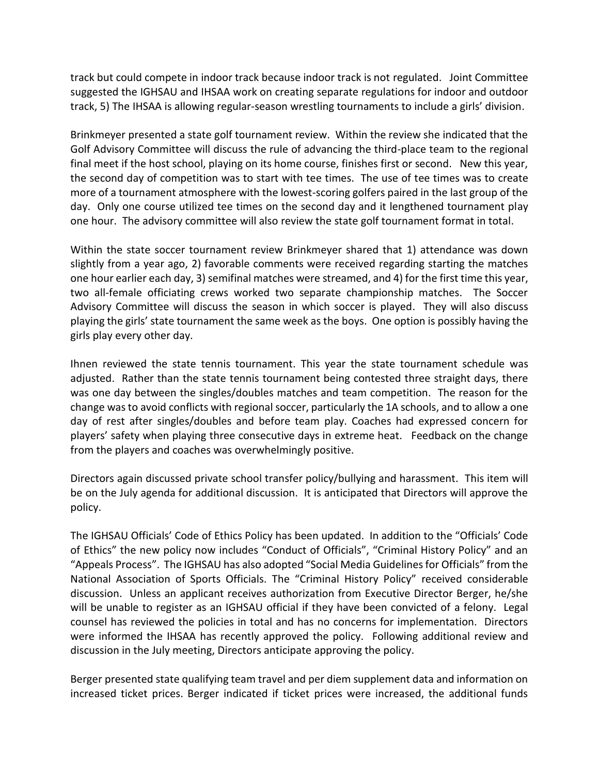track but could compete in indoor track because indoor track is not regulated. Joint Committee suggested the IGHSAU and IHSAA work on creating separate regulations for indoor and outdoor track, 5) The IHSAA is allowing regular-season wrestling tournaments to include a girls' division.

Brinkmeyer presented a state golf tournament review. Within the review she indicated that the Golf Advisory Committee will discuss the rule of advancing the third-place team to the regional final meet if the host school, playing on its home course, finishes first or second. New this year, the second day of competition was to start with tee times. The use of tee times was to create more of a tournament atmosphere with the lowest-scoring golfers paired in the last group of the day. Only one course utilized tee times on the second day and it lengthened tournament play one hour. The advisory committee will also review the state golf tournament format in total.

Within the state soccer tournament review Brinkmeyer shared that 1) attendance was down slightly from a year ago, 2) favorable comments were received regarding starting the matches one hour earlier each day, 3) semifinal matches were streamed, and 4) for the first time this year, two all-female officiating crews worked two separate championship matches. The Soccer Advisory Committee will discuss the season in which soccer is played. They will also discuss playing the girls' state tournament the same week as the boys. One option is possibly having the girls play every other day.

Ihnen reviewed the state tennis tournament. This year the state tournament schedule was adjusted. Rather than the state tennis tournament being contested three straight days, there was one day between the singles/doubles matches and team competition. The reason for the change was to avoid conflicts with regional soccer, particularly the 1A schools, and to allow a one day of rest after singles/doubles and before team play. Coaches had expressed concern for players' safety when playing three consecutive days in extreme heat. Feedback on the change from the players and coaches was overwhelmingly positive.

Directors again discussed private school transfer policy/bullying and harassment. This item will be on the July agenda for additional discussion. It is anticipated that Directors will approve the policy.

The IGHSAU Officials' Code of Ethics Policy has been updated. In addition to the "Officials' Code of Ethics" the new policy now includes "Conduct of Officials", "Criminal History Policy" and an "Appeals Process". The IGHSAU has also adopted "Social Media Guidelines for Officials" from the National Association of Sports Officials. The "Criminal History Policy" received considerable discussion. Unless an applicant receives authorization from Executive Director Berger, he/she will be unable to register as an IGHSAU official if they have been convicted of a felony. Legal counsel has reviewed the policies in total and has no concerns for implementation. Directors were informed the IHSAA has recently approved the policy. Following additional review and discussion in the July meeting, Directors anticipate approving the policy.

Berger presented state qualifying team travel and per diem supplement data and information on increased ticket prices. Berger indicated if ticket prices were increased, the additional funds